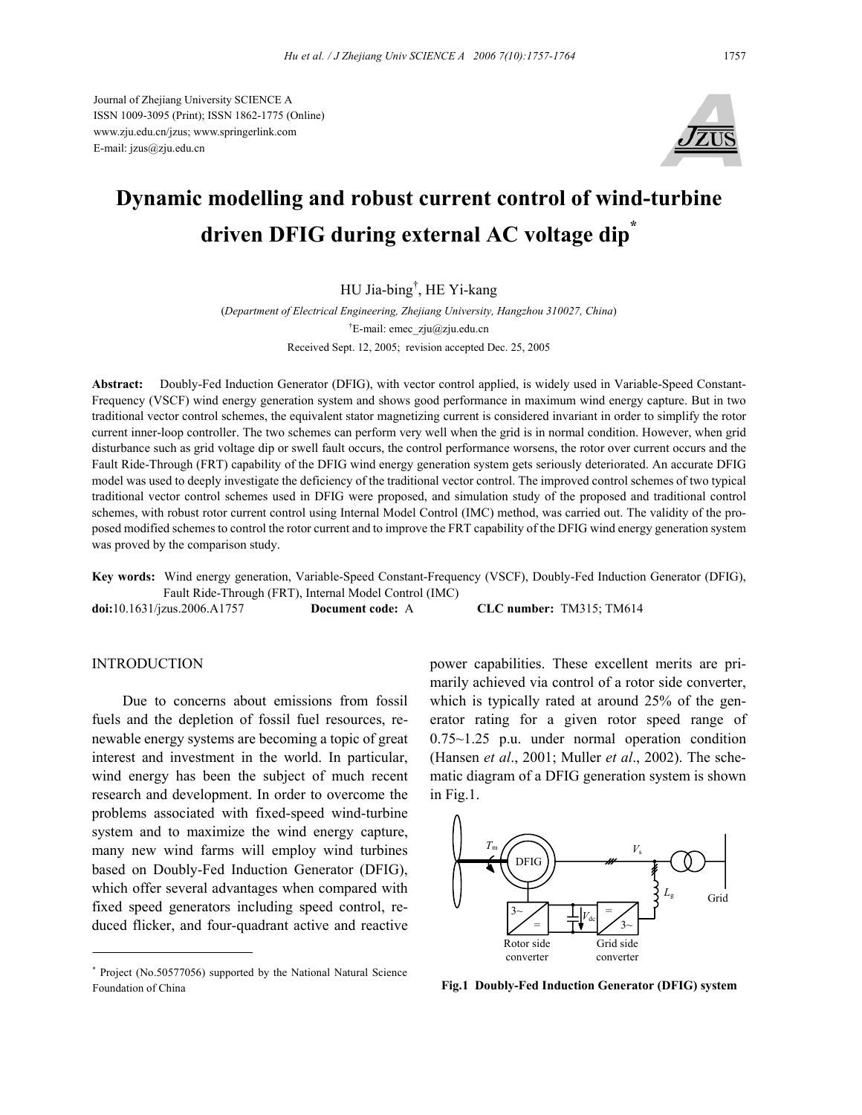Journal of Zhejiang University SCIENCE A ISSN 1009-3095 (Print); ISSN 1862-1775 (Online) www.zju.edu.cn/jzus; www.springerlink.com E-mail: jzus@zju.edu.cn



# **Dynamic modelling and robust current control of wind-turbine driven DFIG during external AC voltage dip\***

# HU Jia-bing† , HE Yi-kang

(*Department of Electrical Engineering, Zhejiang University, Hangzhou 310027, China*) <sup>†</sup>E-mail: emec zju@zju.edu.cn Received Sept. 12, 2005; revision accepted Dec. 25, 2005

**Abstract:** Doubly-Fed Induction Generator (DFIG), with vector control applied, is widely used in Variable-Speed Constant-Frequency (VSCF) wind energy generation system and shows good performance in maximum wind energy capture. But in two traditional vector control schemes, the equivalent stator magnetizing current is considered invariant in order to simplify the rotor current inner-loop controller. The two schemes can perform very well when the grid is in normal condition. However, when grid disturbance such as grid voltage dip or swell fault occurs, the control performance worsens, the rotor over current occurs and the Fault Ride-Through (FRT) capability of the DFIG wind energy generation system gets seriously deteriorated. An accurate DFIG model was used to deeply investigate the deficiency of the traditional vector control. The improved control schemes of two typical traditional vector control schemes used in DFIG were proposed, and simulation study of the proposed and traditional control schemes, with robust rotor current control using Internal Model Control (IMC) method, was carried out. The validity of the proposed modified schemes to control the rotor current and to improve the FRT capability of the DFIG wind energy generation system was proved by the comparison study.

**Key words:** Wind energy generation, Variable-Speed Constant-Frequency (VSCF), Doubly-Fed Induction Generator (DFIG), Fault Ride-Through (FRT), Internal Model Control (IMC)

**doi:**10.1631/jzus.2006.A1757 **Document code:** A **CLC number:** TM315; TM614

## **INTRODUCTION**

Due to concerns about emissions from fossil fuels and the depletion of fossil fuel resources, renewable energy systems are becoming a topic of great interest and investment in the world. In particular, wind energy has been the subject of much recent research and development. In order to overcome the problems associated with fixed-speed wind-turbine system and to maximize the wind energy capture, many new wind farms will employ wind turbines based on Doubly-Fed Induction Generator (DFIG), which offer several advantages when compared with fixed speed generators including speed control, reduced flicker, and four-quadrant active and reactive

power capabilities. These excellent merits are primarily achieved via control of a rotor side converter, which is typically rated at around 25% of the generator rating for a given rotor speed range of 0.75~1.25 p.u. under normal operation condition (Hansen *et al*., 2001; Muller *et al*., 2002). The schematic diagram of a DFIG generation system is shown in Fig.1.



<sup>\*</sup> Project (No.50577056) supported by the National Natural Science Foundation of China **Fig.1 Doubly-Fed Induction Generator (DFIG) system**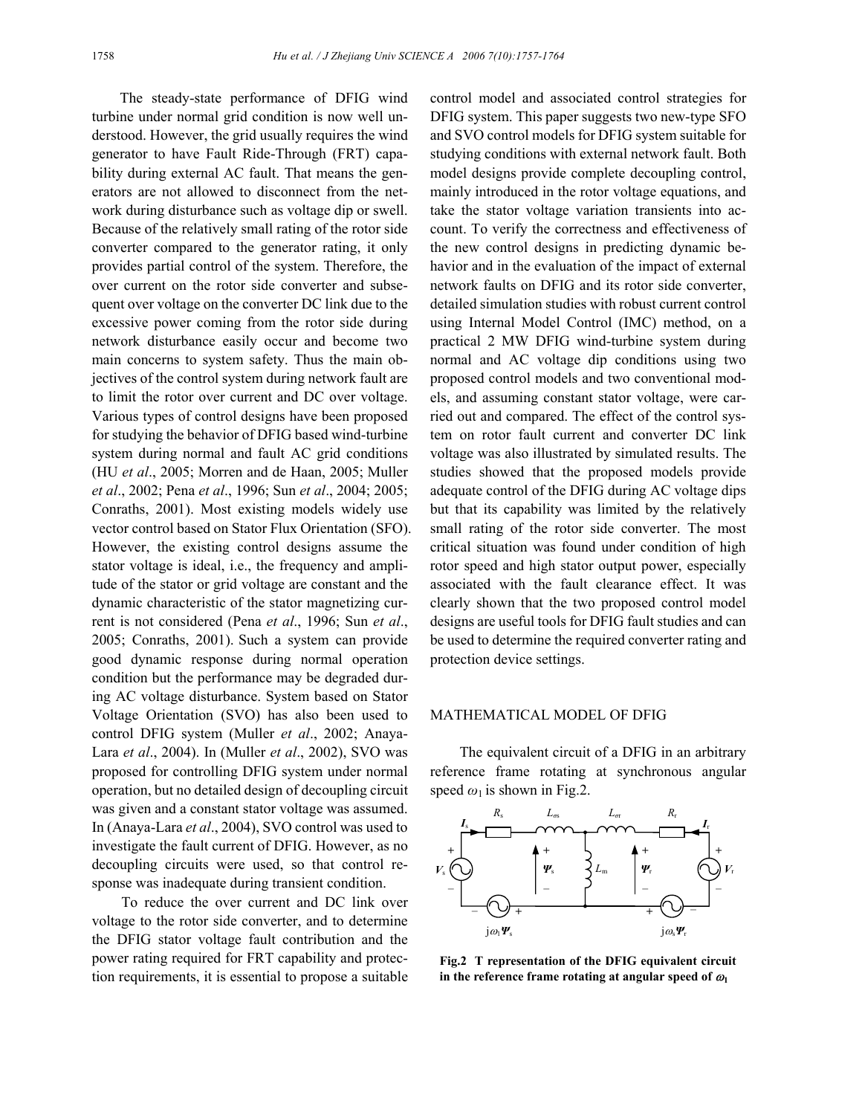The steady-state performance of DFIG wind turbine under normal grid condition is now well understood. However, the grid usually requires the wind generator to have Fault Ride-Through (FRT) capability during external AC fault. That means the generators are not allowed to disconnect from the network during disturbance such as voltage dip or swell. Because of the relatively small rating of the rotor side converter compared to the generator rating, it only provides partial control of the system. Therefore, the over current on the rotor side converter and subsequent over voltage on the converter DC link due to the excessive power coming from the rotor side during network disturbance easily occur and become two main concerns to system safety. Thus the main objectives of the control system during network fault are to limit the rotor over current and DC over voltage. Various types of control designs have been proposed for studying the behavior of DFIG based wind-turbine system during normal and fault AC grid conditions (HU *et al*., 2005; Morren and de Haan, 2005; Muller *et al*., 2002; Pena *et al*., 1996; Sun *et al*., 2004; 2005; Conraths, 2001). Most existing models widely use vector control based on Stator Flux Orientation (SFO). However, the existing control designs assume the stator voltage is ideal, i.e., the frequency and amplitude of the stator or grid voltage are constant and the dynamic characteristic of the stator magnetizing current is not considered (Pena *et al*., 1996; Sun *et al*., 2005; Conraths, 2001). Such a system can provide good dynamic response during normal operation condition but the performance may be degraded during AC voltage disturbance. System based on Stator Voltage Orientation (SVO) has also been used to control DFIG system (Muller *et al*., 2002; Anaya-Lara *et al*., 2004). In (Muller *et al*., 2002), SVO was proposed for controlling DFIG system under normal operation, but no detailed design of decoupling circuit was given and a constant stator voltage was assumed. In (Anaya-Lara *et al*., 2004), SVO control was used to investigate the fault current of DFIG. However, as no decoupling circuits were used, so that control response was inadequate during transient condition.

To reduce the over current and DC link over voltage to the rotor side converter, and to determine the DFIG stator voltage fault contribution and the power rating required for FRT capability and protection requirements, it is essential to propose a suitable control model and associated control strategies for DFIG system. This paper suggests two new-type SFO and SVO control models for DFIG system suitable for studying conditions with external network fault. Both model designs provide complete decoupling control, mainly introduced in the rotor voltage equations, and take the stator voltage variation transients into account. To verify the correctness and effectiveness of the new control designs in predicting dynamic behavior and in the evaluation of the impact of external network faults on DFIG and its rotor side converter, detailed simulation studies with robust current control using Internal Model Control (IMC) method, on a practical 2 MW DFIG wind-turbine system during normal and AC voltage dip conditions using two proposed control models and two conventional models, and assuming constant stator voltage, were carried out and compared. The effect of the control system on rotor fault current and converter DC link voltage was also illustrated by simulated results. The studies showed that the proposed models provide adequate control of the DFIG during AC voltage dips but that its capability was limited by the relatively small rating of the rotor side converter. The most critical situation was found under condition of high rotor speed and high stator output power, especially associated with the fault clearance effect. It was clearly shown that the two proposed control model designs are useful tools for DFIG fault studies and can be used to determine the required converter rating and protection device settings.

### MATHEMATICAL MODEL OF DFIG

The equivalent circuit of a DFIG in an arbitrary reference frame rotating at synchronous angular speed  $\omega_1$  is shown in Fig.2.



**Fig.2 T representation of the DFIG equivalent circuit** in the reference frame rotating at angular speed of  $\omega_1$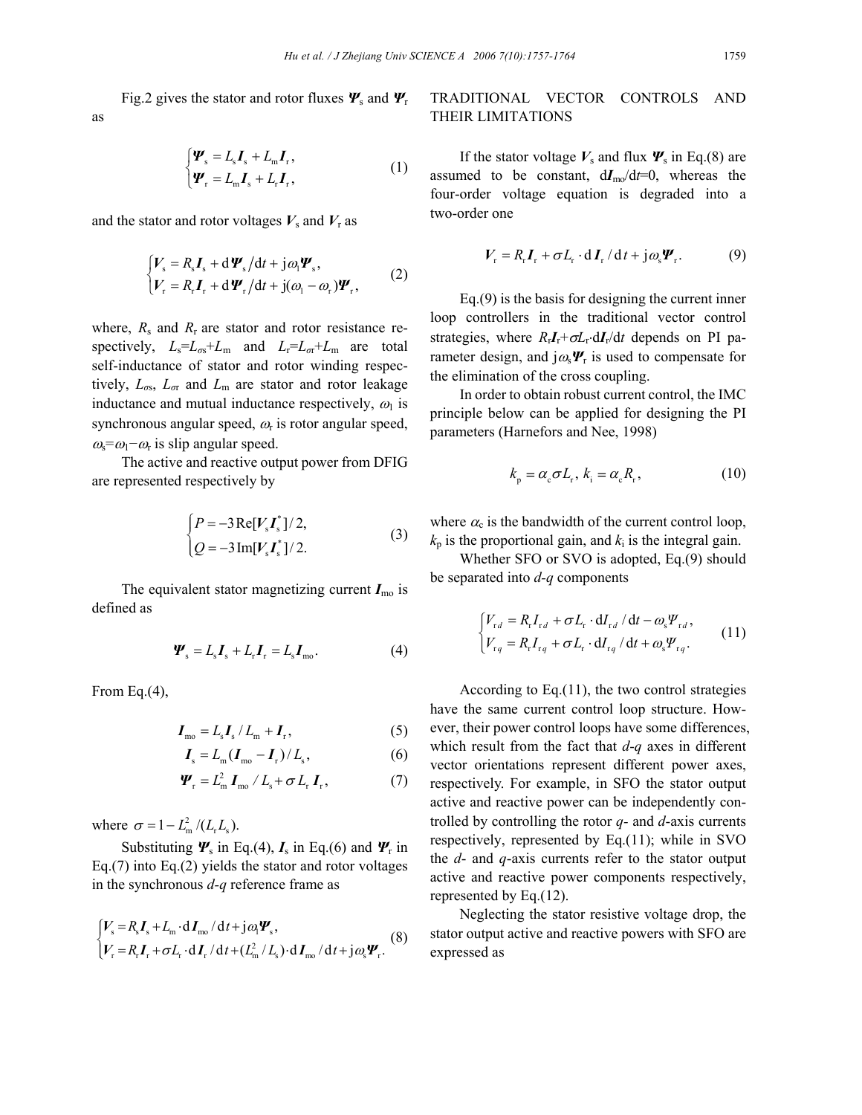Fig.2 gives the stator and rotor fluxes *Ψ*<sup>s</sup> and *Ψ*<sup>r</sup> as

$$
\begin{cases} \Psi_{\rm s} = L_{\rm s} I_{\rm s} + L_{\rm m} I_{\rm r}, \\ \Psi_{\rm r} = L_{\rm m} I_{\rm s} + L_{\rm r} I_{\rm r}, \end{cases} \tag{1}
$$

and the stator and rotor voltages  $V_s$  and  $V_r$  as

$$
\begin{cases} V_{\rm s} = R_{\rm s} I_{\rm s} + d\boldsymbol{\varPsi}_{\rm s}/dt + j\omega_{\rm l} \boldsymbol{\varPsi}_{\rm s}, \\ V_{\rm r} = R_{\rm r} I_{\rm r} + d\boldsymbol{\varPsi}_{\rm r}/dt + j(\omega_{\rm l} - \omega_{\rm r}) \boldsymbol{\varPsi}_{\rm r}, \end{cases} (2)
$$

where,  $R_s$  and  $R_r$  are stator and rotor resistance respectively,  $L_s = L_{\sigma s} + L_m$  and  $L_r = L_{\sigma r} + L_m$  are total self-inductance of stator and rotor winding respectively,  $L_{\sigma s}$ ,  $L_{\sigma r}$  and  $L_{\rm m}$  are stator and rotor leakage inductance and mutual inductance respectively,  $\omega_1$  is synchronous angular speed,  $\omega_{\rm r}$  is rotor angular speed,  $\omega_s = \omega_1 - \omega_r$  is slip angular speed.

The active and reactive output power from DFIG are represented respectively by

$$
\begin{cases}\nP = -3 \operatorname{Re}[V_s I_s^*]/2, \\
Q = -3 \operatorname{Im}[V_s I_s^*]/2.\n\end{cases}
$$
\n(3)

The equivalent stator magnetizing current  $I_{\text{mo}}$  is defined as

$$
\mathbf{\Psi}_{\rm s} = L_{\rm s} \mathbf{I}_{\rm s} + L_{\rm r} \mathbf{I}_{\rm r} = L_{\rm s} \mathbf{I}_{\rm mo}.
$$
 (4)

From Eq.(4),

$$
\boldsymbol{I}_{\text{mo}} = L_{\text{s}} \boldsymbol{I}_{\text{s}} / L_{\text{m}} + \boldsymbol{I}_{\text{r}},\tag{5}
$$

$$
\boldsymbol{I}_{\rm s} = L_{\rm m}(\boldsymbol{I}_{\rm mo} - \boldsymbol{I}_{\rm r})/L_{\rm s},\tag{6}
$$

$$
\boldsymbol{\varPsi}_{\rm r} = L_{\rm m}^2 \boldsymbol{I}_{\rm m0} / L_{\rm s} + \sigma L_{\rm r} \boldsymbol{I}_{\rm r}, \qquad (7)
$$

where  $\sigma = 1 - L_m^2 / (L_r L_s)$ .

Substituting  $\Psi_s$  in Eq.(4),  $I_s$  in Eq.(6) and  $\Psi_r$  in Eq.(7) into Eq.(2) yields the stator and rotor voltages in the synchronous *d-q* reference frame as

$$
\begin{cases}\nV_s = R_s I_s + L_m \cdot dI_{\text{mo}} / dt + j\omega_1 \Psi_s, \\
V_r = R_r I_r + \sigma L_r \cdot dI_r / dt + (L_m^2 / L_s) \cdot dI_{\text{mo}} / dt + j\omega_s \Psi_r.\n\end{cases}
$$
\n(8)

# TRADITIONAL VECTOR CONTROLS AND THEIR LIMITATIONS

If the stator voltage  $V_s$  and flux  $\Psi_s$  in Eq.(8) are assumed to be constant,  $dI_{\text{mo}}/dt=0$ , whereas the four-order voltage equation is degraded into a two-order one

$$
V_{\rm r} = R_{\rm r} I_{\rm r} + \sigma L_{\rm r} \cdot dI_{\rm r} / dt + j \omega_{\rm s} \Psi_{\rm r}.
$$
 (9)

Eq.(9) is the basis for designing the current inner loop controllers in the traditional vector control strategies, where  $R_rI_r+\sigma L_r dI_r/dt$  depends on PI parameter design, and  $j\omega_s \Psi_r$  is used to compensate for the elimination of the cross coupling.

In order to obtain robust current control, the IMC principle below can be applied for designing the PI parameters (Harnefors and Nee, 1998)

$$
k_{\rm p} = \alpha_{\rm c} \sigma L_{\rm r}, \, k_{\rm i} = \alpha_{\rm c} R_{\rm r}, \tag{10}
$$

where  $\alpha_c$  is the bandwidth of the current control loop,  $k_p$  is the proportional gain, and  $k_i$  is the integral gain.

Whether SFO or SVO is adopted, Eq.(9) should be separated into *d-q* components

$$
\begin{cases} V_{rd} = R_r I_{rd} + \sigma L_r \cdot dI_{rd} / dt - \omega_s \Psi_{rd}, \\ V_{rq} = R_r I_{rq} + \sigma L_r \cdot dI_{rq} / dt + \omega_s \Psi_{rq}. \end{cases} \tag{11}
$$

According to Eq.(11), the two control strategies have the same current control loop structure. However, their power control loops have some differences, which result from the fact that *d*-*q* axes in different vector orientations represent different power axes, respectively. For example, in SFO the stator output active and reactive power can be independently controlled by controlling the rotor *q-* and *d*-axis currents respectively, represented by Eq.(11); while in SVO the *d*- and *q*-axis currents refer to the stator output active and reactive power components respectively, represented by Eq.(12).

Neglecting the stator resistive voltage drop, the stator output active and reactive powers with SFO are expressed as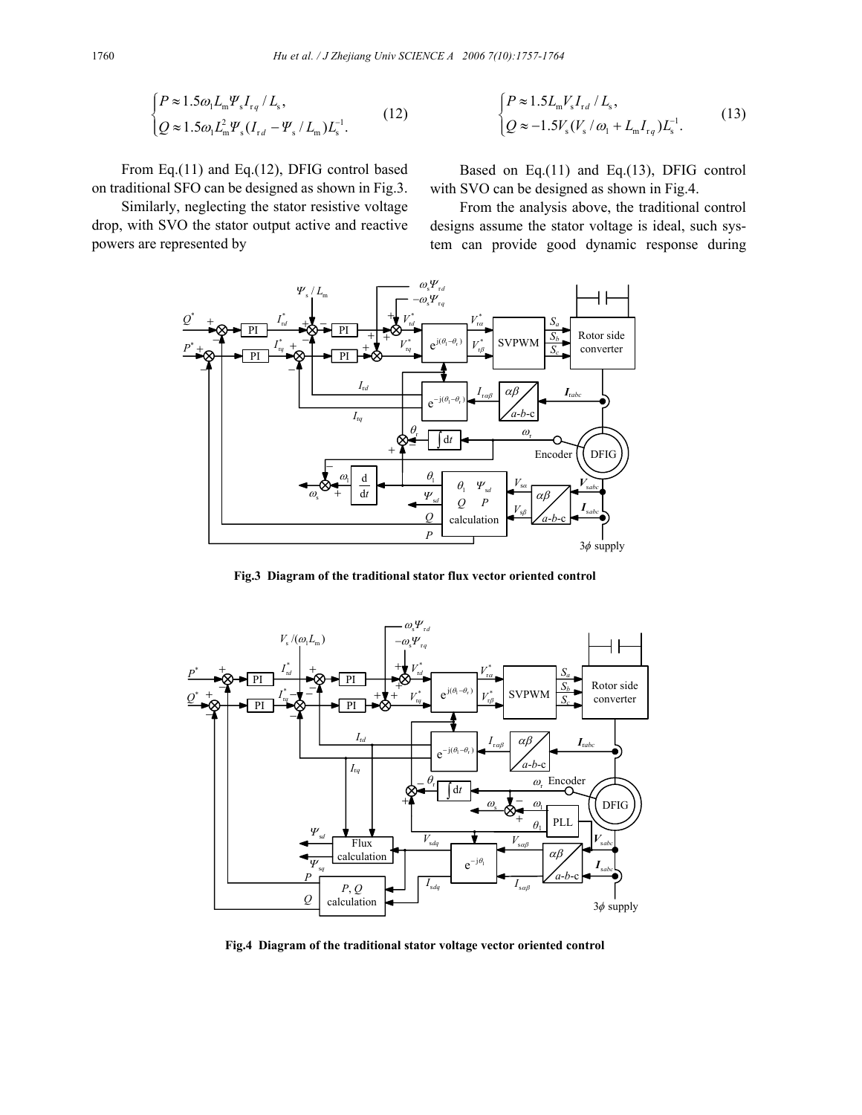$$
\begin{cases} P \approx 1.5 \omega_1 L_{\rm m} \Psi_s I_{\rm rq} / L_{\rm s}, \\ Q \approx 1.5 \omega_1 L_{\rm m}^2 \Psi_s (I_{\rm rd} - \Psi_s / L_{\rm m}) L_{\rm s}^{-1}. \end{cases} \tag{12}
$$

From Eq.(11) and Eq.(12), DFIG control based on traditional SFO can be designed as shown in Fig.3.

Similarly, neglecting the stator resistive voltage drop, with SVO the stator output active and reactive powers are represented by

$$
\begin{cases} P \approx 1.5 L_{\rm m} V_s I_{\rm rd} / L_s, \\ Q \approx -1.5 V_s (V_s / \omega_1 + L_{\rm m} I_{\rm rq}) L_s^{-1} . \end{cases} \tag{13}
$$

Based on Eq.(11) and Eq.(13), DFIG control with SVO can be designed as shown in Fig.4.

From the analysis above, the traditional control designs assume the stator voltage is ideal, such system can provide good dynamic response during



**Fig.3 Diagram of the traditional stator flux vector oriented control**



**Fig.4 Diagram of the traditional stator voltage vector oriented control**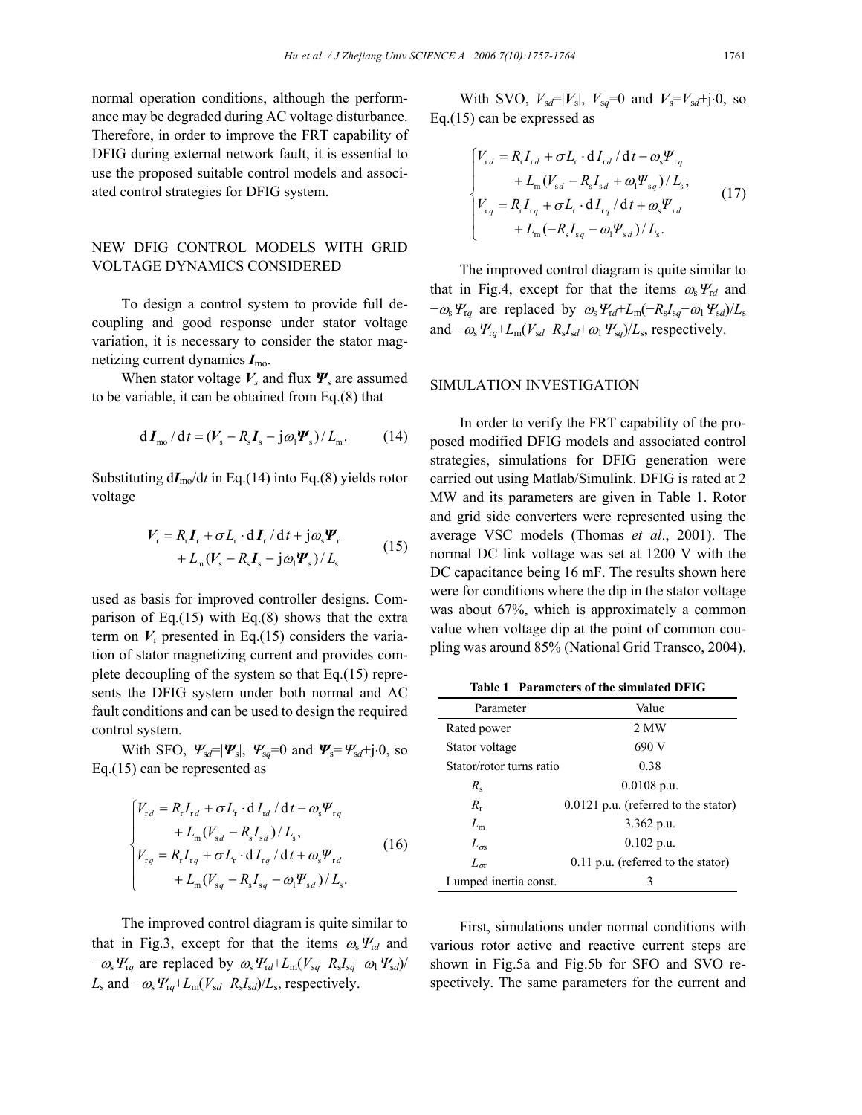normal operation conditions, although the performance may be degraded during AC voltage disturbance. Therefore, in order to improve the FRT capability of DFIG during external network fault, it is essential to use the proposed suitable control models and associated control strategies for DFIG system.

## NEW DFIG CONTROL MODELS WITH GRID VOLTAGE DYNAMICS CONSIDERED

To design a control system to provide full decoupling and good response under stator voltage variation, it is necessary to consider the stator magnetizing current dynamics *I*mo.

When stator voltage  $V_s$  and flux  $\mathbf{\Psi}_s$  are assumed to be variable, it can be obtained from Eq.(8) that

$$
\mathrm{d} \boldsymbol{I}_{\text{mo}} / \mathrm{d} t = (\boldsymbol{V}_{\text{s}} - \boldsymbol{R}_{\text{s}} \boldsymbol{I}_{\text{s}} - \mathrm{j} \omega_1 \boldsymbol{\varPsi}_{\text{s}}) / L_{\text{m}}. \tag{14}
$$

Substituting  $dI_{\text{mo}}/dt$  in Eq.(14) into Eq.(8) yields rotor voltage

$$
V_{\rm r} = R_{\rm r}I_{\rm r} + \sigma L_{\rm r} \cdot dI_{\rm r}/dt + j\omega_{\rm s}\Psi_{\rm r}
$$
  
+  $L_{\rm m}(V_{\rm s} - R_{\rm s}I_{\rm s} - j\omega_{\rm l}\Psi_{\rm s})/L_{\rm s}$  (15)

used as basis for improved controller designs. Comparison of Eq. $(15)$  with Eq. $(8)$  shows that the extra term on  $V_r$  presented in Eq.(15) considers the variation of stator magnetizing current and provides complete decoupling of the system so that Eq.(15) represents the DFIG system under both normal and AC fault conditions and can be used to design the required control system.

With SFO,  $\Psi_{sd} = |\Psi_s|$ ,  $\Psi_{sq} = 0$  and  $\Psi_s = \Psi_{sd} + j \cdot 0$ , so Eq.(15) can be represented as

$$
\begin{cases}\nV_{rd} = R_r I_{rd} + \sigma L_r \cdot d I_{rd} / d t - \omega_s \Psi_{rq} \\
+ L_m (V_{sd} - R_s I_{sd}) / L_s, \\
V_{rq} = R_r I_{rq} + \sigma L_r \cdot d I_{rq} / d t + \omega_s \Psi_{rd} \\
+ L_m (V_{sq} - R_s I_{sq} - \omega_l \Psi_{sd}) / L_s.\n\end{cases} (16)
$$

The improved control diagram is quite similar to that in Fig.3, except for that the items  $\omega_s V_{rd}$  and  $-\omega_s \Psi_{\text{r}q}$  are replaced by  $\omega_s \Psi_{\text{r}d} + L_m(V_{\text{sq}} - R_s I_{\text{sq}} - \omega_1 \Psi_{\text{sd}})$ /  $L_s$  and  $-\omega_s \Psi_{\text{rq}} + L_m(V_{\text{sd}} - R_s I_{\text{sd}})/L_s$ , respectively.

With SVO,  $V_{sd} = |V_s|$ ,  $V_{sq} = 0$  and  $V_s = V_{sd} + j \cdot 0$ , so Eq.(15) can be expressed as

$$
\begin{cases}\nV_{rd} = R_r I_{rd} + \sigma L_r \cdot d I_{rd} / d t - \omega_s \Psi_{rq} \\
+ L_m (V_{sd} - R_s I_{sd} + \omega_l \Psi_{sq}) / L_s, \\
V_{rq} = R_r I_{rq} + \sigma L_r \cdot d I_{rq} / d t + \omega_s \Psi_{rd} \\
+ L_m (-R_s I_{sq} - \omega_l \Psi_{sd}) / L_s.\n\end{cases} (17)
$$

The improved control diagram is quite similar to that in Fig.4, except for that the items  $\omega_s Y_{rd}$  and  $-\omega_s \Psi_{\text{r}q}$  are replaced by  $\omega_s \Psi_{\text{r}d} + L_m(-R_s I_{\text{sq}} - \omega_1 \Psi_{\text{sd}})/L_s$ and  $-\omega_s \Psi_{\text{rq}} + L_m(V_{sd} - R_s I_{sd} + \omega_1 \Psi_{\text{sq}}) / L_s$ , respectively.

### SIMULATION INVESTIGATION

In order to verify the FRT capability of the proposed modified DFIG models and associated control strategies, simulations for DFIG generation were carried out using Matlab/Simulink. DFIG is rated at 2 MW and its parameters are given in Table 1. Rotor and grid side converters were represented using the average VSC models (Thomas *et al*., 2001). The normal DC link voltage was set at 1200 V with the DC capacitance being 16 mF. The results shown here were for conditions where the dip in the stator voltage was about 67%, which is approximately a common value when voltage dip at the point of common coupling was around 85% (National Grid Transco, 2004).

**Table 1 Parameters of the simulated DFIG** 

| Parameter                | Value                                  |
|--------------------------|----------------------------------------|
| Rated power              | 2 MW                                   |
| Stator voltage           | 690 V                                  |
| Stator/rotor turns ratio | 0.38                                   |
| $R_{s}$                  | $0.0108$ p.u.                          |
| $R_r$                    | $0.0121$ p.u. (referred to the stator) |
| $L_{\rm m}$              | $3.362$ p.u.                           |
| $L_{\infty}$             | $0.102$ p.u.                           |
| $L_{\sigma}$             | $0.11$ p.u. (referred to the stator)   |
| Lumped inertia const.    | 3                                      |

First, simulations under normal conditions with various rotor active and reactive current steps are shown in Fig.5a and Fig.5b for SFO and SVO respectively. The same parameters for the current and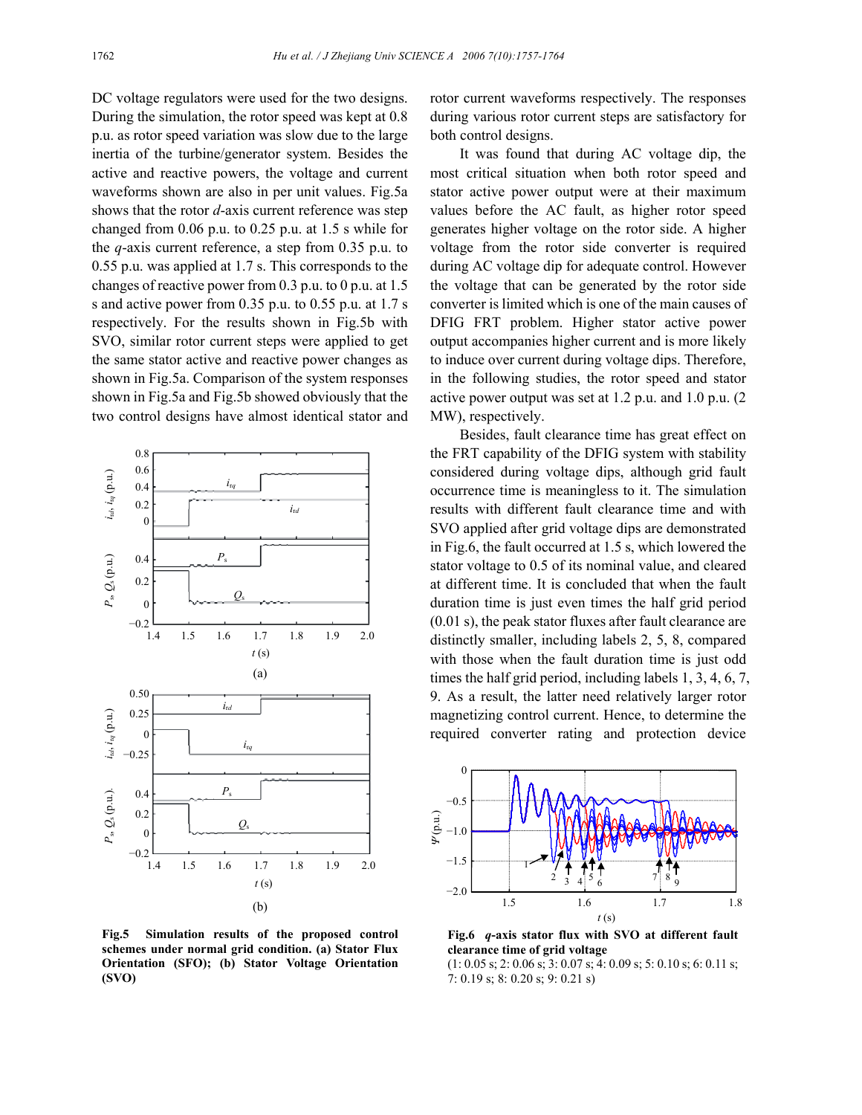DC voltage regulators were used for the two designs. During the simulation, the rotor speed was kept at 0.8 p.u. as rotor speed variation was slow due to the large inertia of the turbine/generator system. Besides the active and reactive powers, the voltage and current waveforms shown are also in per unit values. Fig.5a shows that the rotor *d*-axis current reference was step changed from 0.06 p.u. to 0.25 p.u. at 1.5 s while for the *q*-axis current reference, a step from 0.35 p.u. to 0.55 p.u. was applied at 1.7 s. This corresponds to the changes of reactive power from 0.3 p.u. to 0 p.u. at 1.5 s and active power from 0.35 p.u. to 0.55 p.u. at 1.7 s respectively. For the results shown in Fig.5b with SVO, similar rotor current steps were applied to get the same stator active and reactive power changes as shown in Fig.5a. Comparison of the system responses shown in Fig.5a and Fig.5b showed obviously that the two control designs have almost identical stator and



**Fig.5 Simulation results of the proposed control schemes under normal grid condition. (a) Stator Flux Orientation (SFO); (b) Stator Voltage Orientation (SVO)**

rotor current waveforms respectively. The responses during various rotor current steps are satisfactory for both control designs.

It was found that during AC voltage dip, the most critical situation when both rotor speed and stator active power output were at their maximum values before the AC fault, as higher rotor speed generates higher voltage on the rotor side. A higher voltage from the rotor side converter is required during AC voltage dip for adequate control. However the voltage that can be generated by the rotor side converter is limited which is one of the main causes of DFIG FRT problem. Higher stator active power output accompanies higher current and is more likely to induce over current during voltage dips. Therefore, in the following studies, the rotor speed and stator active power output was set at 1.2 p.u. and 1.0 p.u. (2 MW), respectively.

Besides, fault clearance time has great effect on the FRT capability of the DFIG system with stability considered during voltage dips, although grid fault occurrence time is meaningless to it. The simulation results with different fault clearance time and with SVO applied after grid voltage dips are demonstrated in Fig.6, the fault occurred at 1.5 s, which lowered the stator voltage to 0.5 of its nominal value, and cleared at different time. It is concluded that when the fault duration time is just even times the half grid period (0.01 s), the peak stator fluxes after fault clearance are distinctly smaller, including labels 2, 5, 8, compared with those when the fault duration time is just odd times the half grid period, including labels 1, 3, 4, 6, 7, 9. As a result, the latter need relatively larger rotor magnetizing control current. Hence, to determine the required converter rating and protection device



**Fig.6** *q***-axis stator flux with SVO at different fault clearance time of grid voltage** 

(1: 0.05 s; 2: 0.06 s; 3: 0.07 s; 4: 0.09 s; 5: 0.10 s; 6: 0.11 s; 7: 0.19 s; 8: 0.20 s; 9: 0.21 s)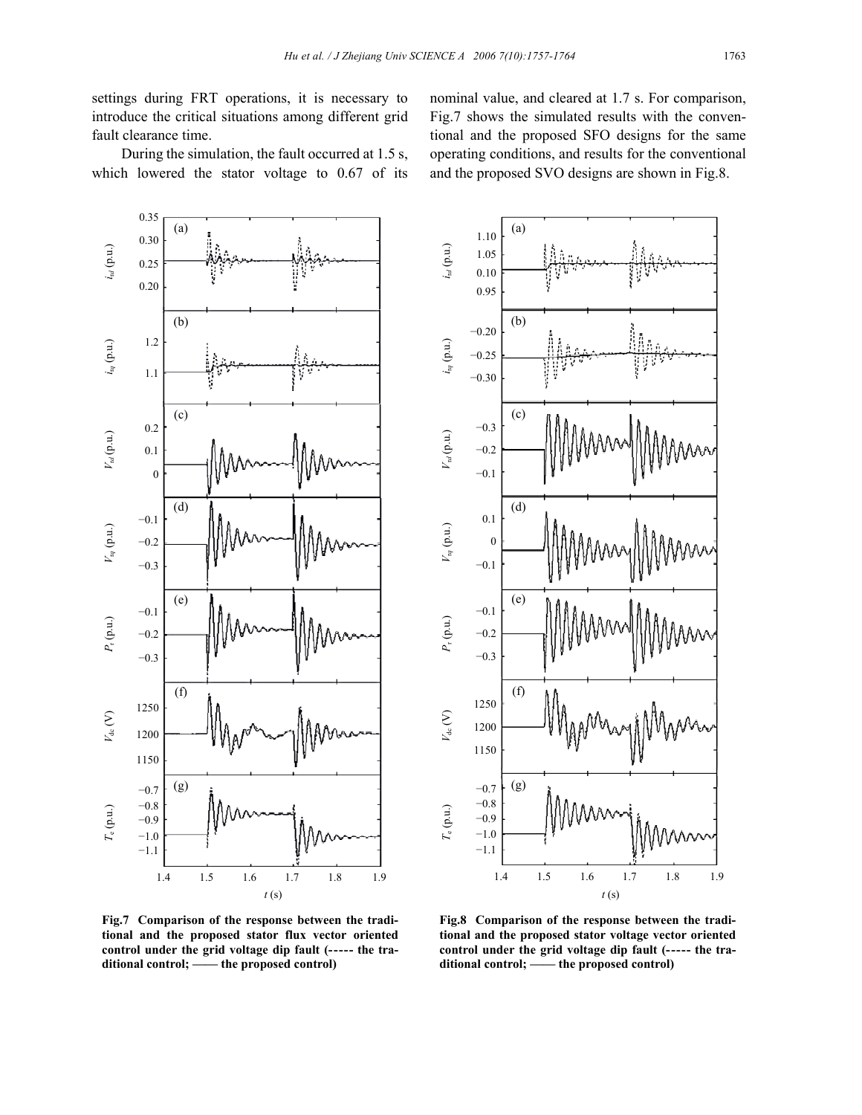settings during FRT operations, it is necessary to introduce the critical situations among different grid fault clearance time.

During the simulation, the fault occurred at 1.5 s, which lowered the stator voltage to 0.67 of its nominal value, and cleared at 1.7 s. For comparison, Fig.7 shows the simulated results with the conventional and the proposed SFO designs for the same operating conditions, and results for the conventional and the proposed SVO designs are shown in Fig.8.



**Fig.7 Comparison of the response between the traditional and the proposed stator flux vector oriented control under the grid voltage dip fault (----- the traditional control; —— the proposed control)** 



**Fig.8 Comparison of the response between the traditional and the proposed stator voltage vector oriented control under the grid voltage dip fault (----- the traditional control; —— the proposed control)**